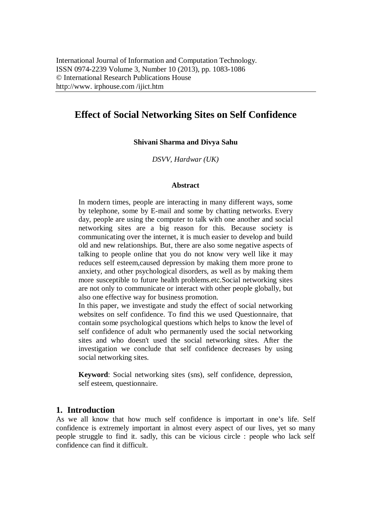# **Effect of Social Networking Sites on Self Confidence**

#### **Shivani Sharma and Divya Sahu**

*DSVV, Hardwar (UK)*

#### **Abstract**

In modern times, people are interacting in many different ways, some by telephone, some by E-mail and some by chatting networks. Every day, people are using the computer to talk with one another and social networking sites are a big reason for this. Because society is communicating over the internet, it is much easier to develop and build old and new relationships. But, there are also some negative aspects of talking to people online that you do not know very well like it may reduces self esteem,caused depression by making them more prone to anxiety, and other psychological disorders, as well as by making them more susceptible to future health problems.etc.Social networking sites are not only to communicate or interact with other people globally, but also one effective way for business promotion.

In this paper, we investigate and study the effect of social networking websites on self confidence. To find this we used Questionnaire, that contain some psychological questions which helps to know the level of self confidence of adult who permanently used the social networking sites and who doesn't used the social networking sites. After the investigation we conclude that self confidence decreases by using social networking sites.

**Keyword**: Social networking sites (sns), self confidence, depression, self esteem, questionnaire.

### **1. Introduction**

As we all know that how much self confidence is important in one's life. Self confidence is extremely important in almost every aspect of our lives, yet so many people struggle to find it. sadly, this can be vicious circle : people who lack self confidence can find it difficult.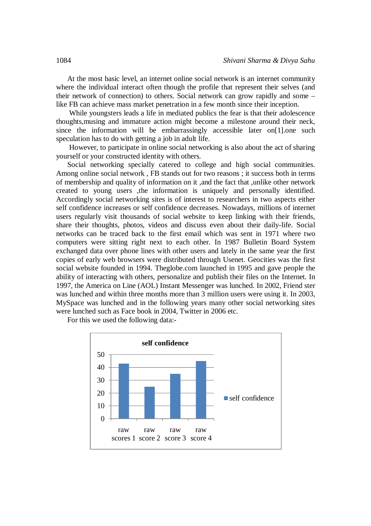At the most basic level, an internet online social network is an internet community where the individual interact often though the profile that represent their selves (and their network of connection) to others. Social network can grow rapidly and some – like FB can achieve mass market penetration in a few month since their inception.

While youngsters leads a life in mediated publics the fear is that their adolescence thoughts,musing and immature action might become a milestone around their neck, since the information will be embarrassingly accessible later on[1].one such speculation has to do with getting a job in adult life.

However, to participate in online social networking is also about the act of sharing yourself or your constructed identity with others.

Social networking specially catered to college and high social communities. Among online social network , FB stands out for two reasons ; it success both in terms of membership and quality of information on it ,and the fact that ,unlike other network created to young users ,the information is uniquely and personally identified. Accordingly social networking sites is of interest to researchers in two aspects either self confidence increases or self confidence decreases. Nowadays, millions of internet users regularly visit thousands of social website to keep linking with their friends, share their thoughts, photos, videos and discuss even about their daily-life. Social networks can be traced back to the first email which was sent in 1971 where two computers were sitting right next to each other. In 1987 Bulletin Board System exchanged data over phone lines with other users and lately in the same year the first copies of early web browsers were distributed through Usenet. Geocities was the first social website founded in 1994. Theglobe.com launched in 1995 and gave people the ability of interacting with others, personalize and publish their files on the Internet. In 1997, the America on Line (AOL) Instant Messenger was lunched. In 2002, Friend ster was lunched and within three months more than 3 million users were using it. In 2003, MySpace was lunched and in the following years many other social networking sites were lunched such as Face book in 2004, Twitter in 2006 etc.

For this we used the following data:-

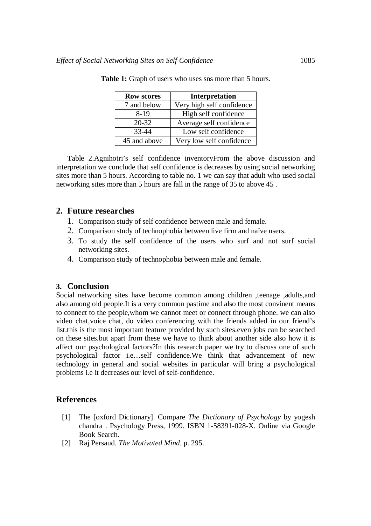| <b>Row scores</b> | Interpretation            |
|-------------------|---------------------------|
| 7 and below       | Very high self confidence |
| $8-19$            | High self confidence      |
| $20 - 32$         | Average self confidence   |
| 33-44             | Low self confidence       |
| 45 and above      | Very low self confidence  |

**Table 1:** Graph of users who uses sns more than 5 hours.

Table 2.Agnihotri's self confidence inventoryFrom the above discussion and interpretation we conclude that self confidence is decreases by using social networking sites more than 5 hours. According to table no. 1 we can say that adult who used social networking sites more than 5 hours are fall in the range of 35 to above 45 .

## **2. Future researches**

- 1. Comparison study of self confidence between male and female.
- 2. Comparison study of technophobia between live firm and naïve users.
- 3. To study the self confidence of the users who surf and not surf social networking sites.
- 4. Comparison study of technophobia between male and female.

## **3. Conclusion**

Social networking sites have become common among children ,teenage ,adults,and also among old people.It is a very common pastime and also the most convinent means to connect to the people,whom we cannot meet or connect through phone. we can also video chat,voice chat, do video conferencing with the friends added in our friend's list.this is the most important feature provided by such sites.even jobs can be searched on these sites.but apart from these we have to think about another side also how it is affect our psychological factors?In this research paper we try to discuss one of such psychological factor i.e…self confidence.We think that advancement of new technology in general and social websites in particular will bring a psychological problems i.e it decreases our level of self-confidence.

## **References**

- [1] The [oxford Dictionary]. Compare *The Dictionary of Psychology* by yogesh chandra . Psychology Press, 1999. ISBN 1-58391-028-X. Online via Google Book Search.
- [2] Raj Persaud. *The Motivated Mind*. p. 295.